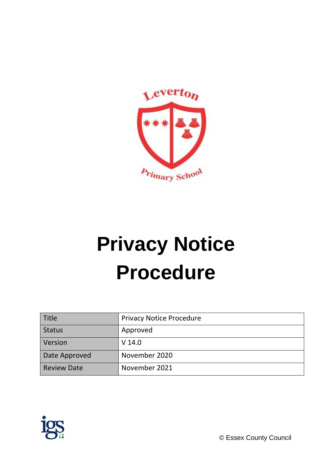

# **Privacy Notice Procedure**

| Title              | <b>Privacy Notice Procedure</b> |
|--------------------|---------------------------------|
| <b>Status</b>      | Approved                        |
| Version            | $V$ 14.0                        |
| Date Approved      | November 2020                   |
| <b>Review Date</b> | November 2021                   |



© Essex County Council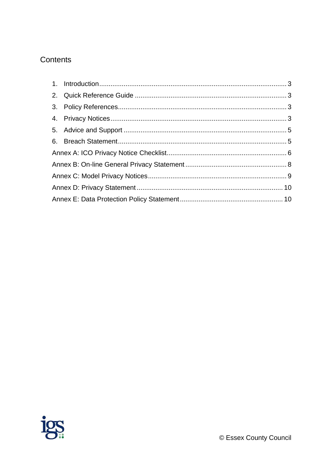# Contents

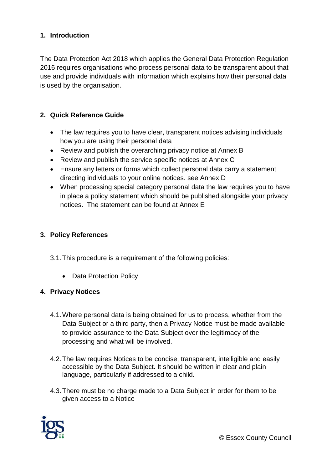# <span id="page-2-0"></span>**1. Introduction**

The Data Protection Act 2018 which applies the General Data Protection Regulation 2016 requires organisations who process personal data to be transparent about that use and provide individuals with information which explains how their personal data is used by the organisation.

#### <span id="page-2-1"></span>**2. Quick Reference Guide**

- The law requires you to have clear, transparent notices advising individuals how you are using their personal data
- Review and publish the overarching privacy notice at Annex B
- Review and publish the service specific notices at Annex C
- Ensure any letters or forms which collect personal data carry a statement directing individuals to your online notices. see Annex D
- When processing special category personal data the law requires you to have in place a policy statement which should be published alongside your privacy notices. The statement can be found at Annex E

#### <span id="page-2-2"></span>**3. Policy References**

- 3.1.This procedure is a requirement of the following policies:
	- Data Protection Policy

#### <span id="page-2-3"></span>**4. Privacy Notices**

- 4.1.Where personal data is being obtained for us to process, whether from the Data Subject or a third party, then a Privacy Notice must be made available to provide assurance to the Data Subject over the legitimacy of the processing and what will be involved.
- 4.2.The law requires Notices to be concise, transparent, intelligible and easily accessible by the Data Subject. It should be written in clear and plain language, particularly if addressed to a child.
- 4.3.There must be no charge made to a Data Subject in order for them to be given access to a Notice



© Essex County Council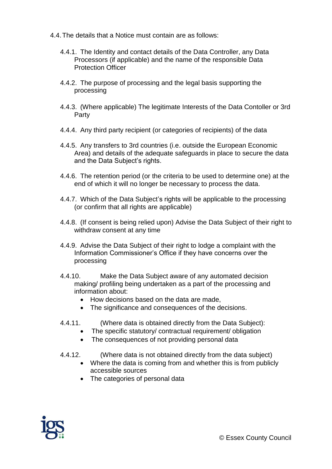- 4.4.The details that a Notice must contain are as follows:
	- 4.4.1. The Identity and contact details of the Data Controller, any Data Processors (if applicable) and the name of the responsible Data Protection Officer
	- 4.4.2. The purpose of processing and the legal basis supporting the processing
	- 4.4.3. (Where applicable) The legitimate Interests of the Data Contoller or 3rd Party
	- 4.4.4. Any third party recipient (or categories of recipients) of the data
	- 4.4.5. Any transfers to 3rd countries (i.e. outside the European Economic Area) and details of the adequate safeguards in place to secure the data and the Data Subject's rights.
	- 4.4.6. The retention period (or the criteria to be used to determine one) at the end of which it will no longer be necessary to process the data.
	- 4.4.7. Which of the Data Subject's rights will be applicable to the processing (or confirm that all rights are applicable)
	- 4.4.8. (If consent is being relied upon) Advise the Data Subject of their right to withdraw consent at any time
	- 4.4.9. Advise the Data Subject of their right to lodge a complaint with the Information Commissioner's Office if they have concerns over the processing
	- 4.4.10. Make the Data Subject aware of any automated decision making/ profiling being undertaken as a part of the processing and information about:
		- How decisions based on the data are made.
		- The significance and consequences of the decisions.
	- 4.4.11. (Where data is obtained directly from the Data Subject):
		- The specific statutory/ contractual requirement/ obligation
		- The consequences of not providing personal data
	- 4.4.12. (Where data is not obtained directly from the data subject)
		- Where the data is coming from and whether this is from publicly accessible sources
		- The categories of personal data

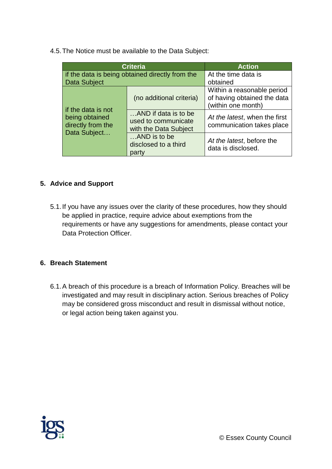4.5.The Notice must be available to the Data Subject:

| <b>Criteria</b>                                                           |                                                                      | <b>Action</b>                                                                   |
|---------------------------------------------------------------------------|----------------------------------------------------------------------|---------------------------------------------------------------------------------|
| if the data is being obtained directly from the<br>Data Subject           |                                                                      | At the time data is<br>obtained                                                 |
| if the data is not<br>being obtained<br>directly from the<br>Data Subject | (no additional criteria)                                             | Within a reasonable period<br>of having obtained the data<br>(within one month) |
|                                                                           | AND if data is to be<br>used to communicate<br>with the Data Subject | At the latest, when the first<br>communication takes place                      |
|                                                                           | AND is to be<br>disclosed to a third<br>party                        | At the latest, before the<br>data is disclosed.                                 |

# <span id="page-4-0"></span>**5. Advice and Support**

5.1.If you have any issues over the clarity of these procedures, how they should be applied in practice, require advice about exemptions from the requirements or have any suggestions for amendments, please contact your Data Protection Officer.

#### <span id="page-4-1"></span>**6. Breach Statement**

6.1.A breach of this procedure is a breach of Information Policy. Breaches will be investigated and may result in disciplinary action. Serious breaches of Policy may be considered gross misconduct and result in dismissal without notice, or legal action being taken against you.

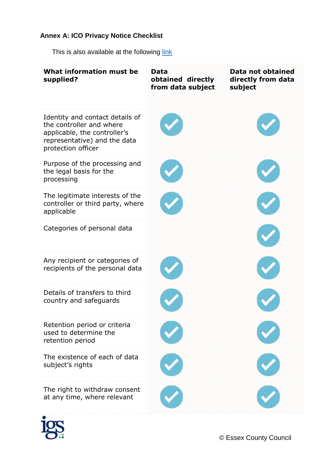# <span id="page-5-0"></span>**Annex A: ICO Privacy Notice Checklist**

This is also available at the following [link](https://ico.org.uk/for-organisations/data-protection-reform/overview-of-the-gdpr/individuals-rights/the-right-to-be-informed/)

| What information must be<br>supplied?                                                                                                             | Data<br>obtained directly<br>from data subject | Data not obtained<br>directly from data<br>subject |
|---------------------------------------------------------------------------------------------------------------------------------------------------|------------------------------------------------|----------------------------------------------------|
| Identity and contact details of<br>the controller and where<br>applicable, the controller's<br>representative) and the data<br>protection officer |                                                |                                                    |
| Purpose of the processing and<br>the legal basis for the<br>processing                                                                            |                                                |                                                    |
| The legitimate interests of the<br>controller or third party, where<br>applicable                                                                 |                                                |                                                    |
| Categories of personal data                                                                                                                       |                                                |                                                    |
| Any recipient or categories of<br>recipients of the personal data                                                                                 |                                                |                                                    |
| Details of transfers to third<br>country and safeguards                                                                                           |                                                |                                                    |
| Retention period or criteria<br>used to determine the<br>retention period                                                                         |                                                |                                                    |
| The existence of each of data<br>subject's rights                                                                                                 |                                                |                                                    |
| The right to withdraw consent<br>at any time, where relevant                                                                                      |                                                |                                                    |



© Essex County Council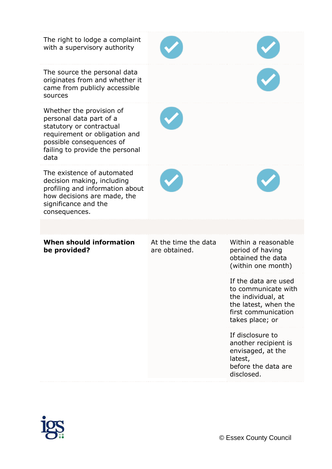| The right to lodge a complaint<br>with a supervisory authority                                                                                                                          |                                       |                                                                                                                                     |
|-----------------------------------------------------------------------------------------------------------------------------------------------------------------------------------------|---------------------------------------|-------------------------------------------------------------------------------------------------------------------------------------|
| The source the personal data<br>originates from and whether it<br>came from publicly accessible<br>sources                                                                              |                                       |                                                                                                                                     |
| Whether the provision of<br>personal data part of a<br>statutory or contractual<br>requirement or obligation and<br>possible consequences of<br>failing to provide the personal<br>data |                                       |                                                                                                                                     |
| The existence of automated<br>decision making, including<br>profiling and information about<br>how decisions are made, the<br>significance and the<br>consequences.                     |                                       |                                                                                                                                     |
|                                                                                                                                                                                         |                                       |                                                                                                                                     |
| When should information<br>be provided?                                                                                                                                                 | At the time the data<br>are obtained. | Within a reasonable<br>period of having<br>obtained the data<br>(within one month)                                                  |
|                                                                                                                                                                                         |                                       | If the data are used<br>to communicate with<br>the individual, at<br>the latest, when the<br>first communication<br>takes place; or |
|                                                                                                                                                                                         |                                       | If disclosure to<br>another recipient is<br>envisaged, at the<br>latest,<br>before the data are<br>disclosed.                       |

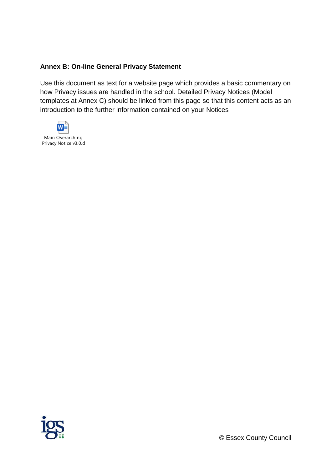#### <span id="page-7-0"></span>**Annex B: On-line General Privacy Statement**

Use this document as text for a website page which provides a basic commentary on how Privacy issues are handled in the school. Detailed Privacy Notices (Model templates at Annex C) should be linked from this page so that this content acts as an introduction to the further information contained on your Notices



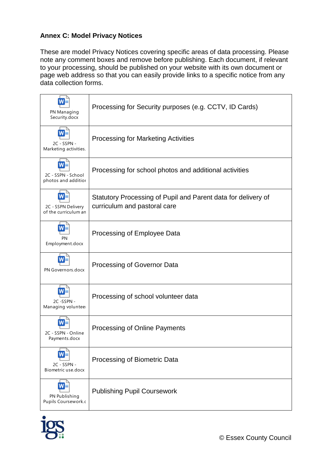# <span id="page-8-0"></span>**Annex C: Model Privacy Notices**

These are model Privacy Notices covering specific areas of data processing. Please note any comment boxes and remove before publishing. Each document, if relevant to your processing, should be published on your website with its own document or page web address so that you can easily provide links to a specific notice from any data collection forms.

| PN Managing<br>Security.docx               | Processing for Security purposes (e.g. CCTV, ID Cards)                                        |
|--------------------------------------------|-----------------------------------------------------------------------------------------------|
| 2C - SSPN -<br>Marketing activities.       | <b>Processing for Marketing Activities</b>                                                    |
| 2C - SSPN - School<br>photos and additior  | Processing for school photos and additional activities                                        |
| 2C - SSPN Delivery<br>of the curriculum an | Statutory Processing of Pupil and Parent data for delivery of<br>curriculum and pastoral care |
| PN<br>Employment.docx                      | Processing of Employee Data                                                                   |
| PN Governors.docx                          | Processing of Governor Data                                                                   |
| 2C-SSPN-<br>Managing volunteer             | Processing of school volunteer data                                                           |
| 2C - SSPN - Online<br>Payments.docx        | Processing of Online Payments                                                                 |
| 2C - SSPN -<br>Biometric use.docx          | Processing of Biometric Data                                                                  |
| PN Publishing<br>Pupils Coursework.c       | <b>Publishing Pupil Coursework</b>                                                            |